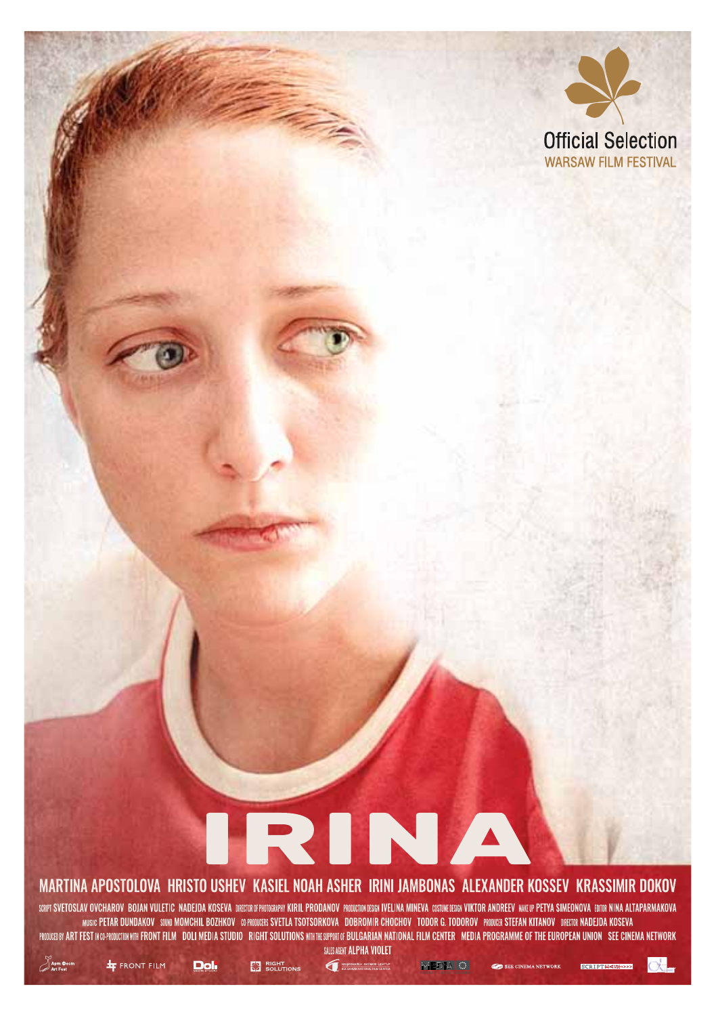

# IRINA MARTINA APOSTOLOVA HRISTO USHEV KASIEL NOAH ASHER IRINI JAMBONAS ALEXANDER KOSSEV KRASSIMIR DOKOV

SCRIFT SVETOSLAV OVCHAROV BOJAN VULETIC NADEJDA KOSEVA DRECTRAT PRODRAPN KIRIL PRODANOV PROUGIDOUSER IVELINA MINEVA COSTUCIESEN VIKTOR ANDREEV MAELIP PETYA SIMEONOVA ERITRATINAKOVA MUSIC PETAR DUNDAKOV SUND MOMCHIL BOZHKOV (SPRIDUCER SVETLA TSOTSORKOVA DOBROMIR CHOCHOV TODOR G, TODOROV PROUGE STEFAN KITANOV DREGIR MADEDA KOSEVA PROUGEDEY ART FEST NOPPROUCURN WIR FRONT FILM DOLI MEDIA STUDIO RIGHT SOLUTIONS WIRTHE SUPPRIT OF BULGARIAN NATIONAL FILM CENTER MEDIA PROGRAMME OF THE EUROPEAN UNION SEE CINEMA NETWORK SALES AGENT ALPHA VIOLET

**COMMANDS** WENCO LENTIS

**EDIA O** 

SCRIPTIQUE CA





**Dol** 

**EX** RIGHT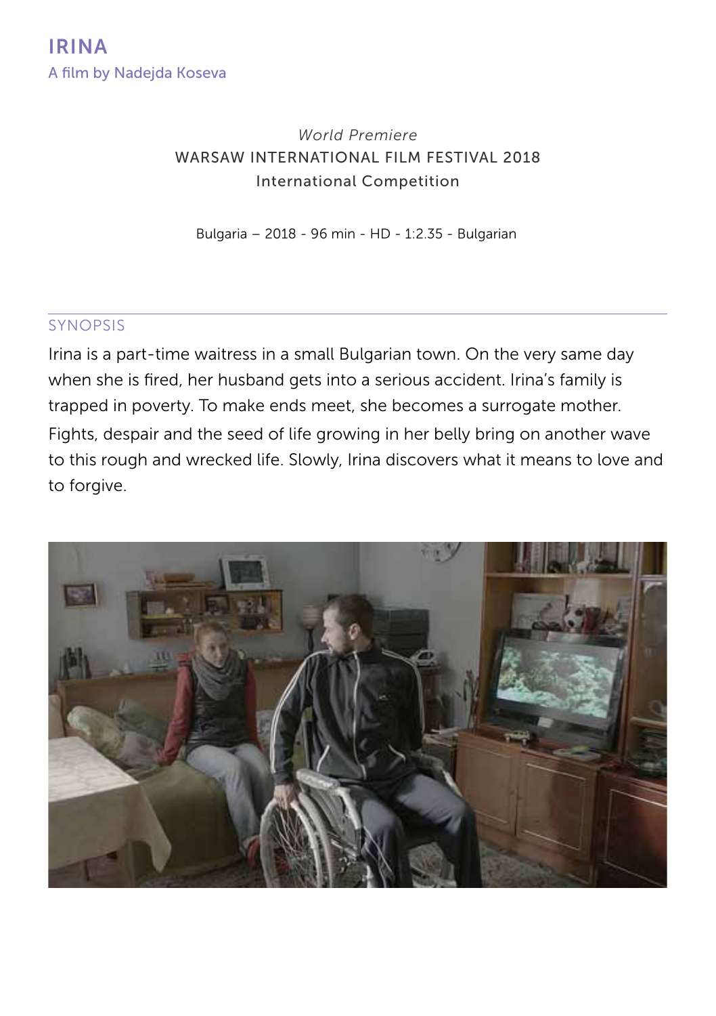## *World Premiere* WARSAW INTERNATIONAL FILM FESTIVAL 2018 International Competition

Bulgaria – 2018 - 96 min - HD - 1:2.35 - Bulgarian

#### synopsis

Irina is a part-time waitress in a small Bulgarian town. On the very same day when she is fired, her husband gets into a serious accident. Irina's family is trapped in poverty. To make ends meet, she becomes a surrogate mother. Fights, despair and the seed of life growing in her belly bring on another wave to this rough and wrecked life. Slowly, Irina discovers what it means to love and to forgive.

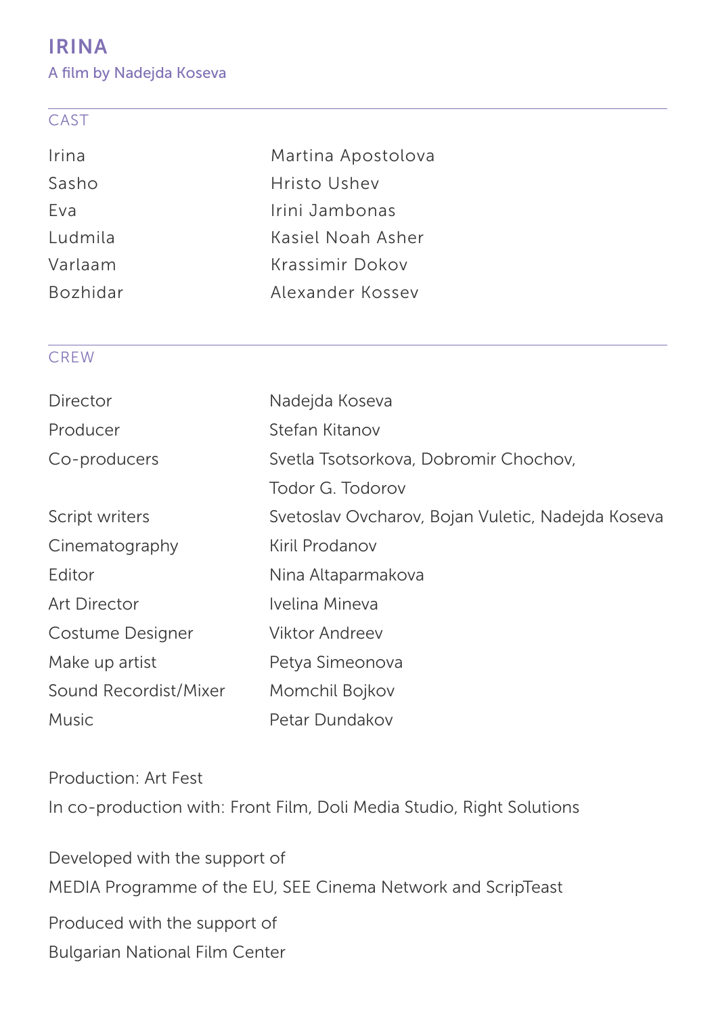# IRINA

A film by Nadejda Koseva

#### CAST

| Irina           | Martina Apostolova |
|-----------------|--------------------|
| Sasho           | Hristo Ushev       |
| Fva             | Irini Jambonas     |
| Ludmila         | Kasiel Noah Asher  |
| Varlaam         | Krassimir Dokov    |
| <b>Bozhidar</b> | Alexander Kossey   |
|                 |                    |

## **CREW**

| Director              | Nadejda Koseva                                    |
|-----------------------|---------------------------------------------------|
| Producer              | Stefan Kitanov                                    |
| Co-producers          | Svetla Tsotsorkova, Dobromir Chochov,             |
|                       | Todor G. Todorov                                  |
| Script writers        | Svetoslav Ovcharov, Bojan Vuletic, Nadejda Koseva |
| Cinematography        | Kiril Prodanov                                    |
| Editor                | Nina Altaparmakova                                |
| Art Director          | Ivelina Mineva                                    |
| Costume Designer      | Viktor Andreev                                    |
| Make up artist        | Petya Simeonova                                   |
| Sound Recordist/Mixer | Momchil Bojkov                                    |
| <b>Music</b>          | Petar Dundakov                                    |

Production: Art Fest In co-production with: Front Film, Doli Media Studio, Right Solutions

Developed with the support of MEDIA Programme of the EU, SEE Cinema Network and ScripTeast Produced with the support of Bulgarian National Film Center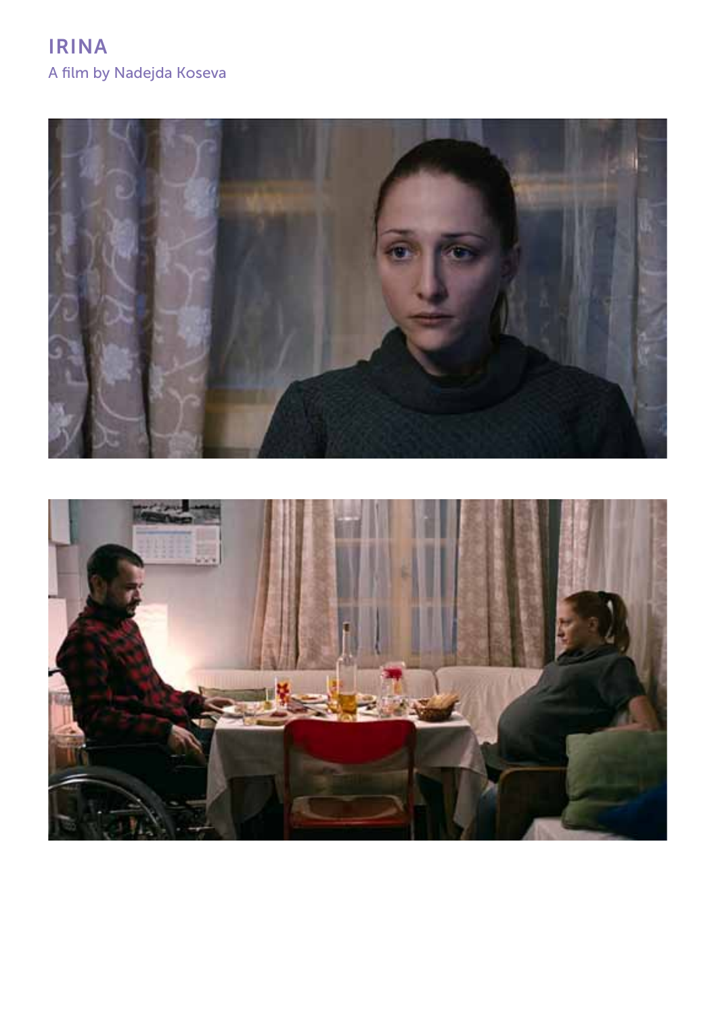# IRINA A film by Nadejda Koseva



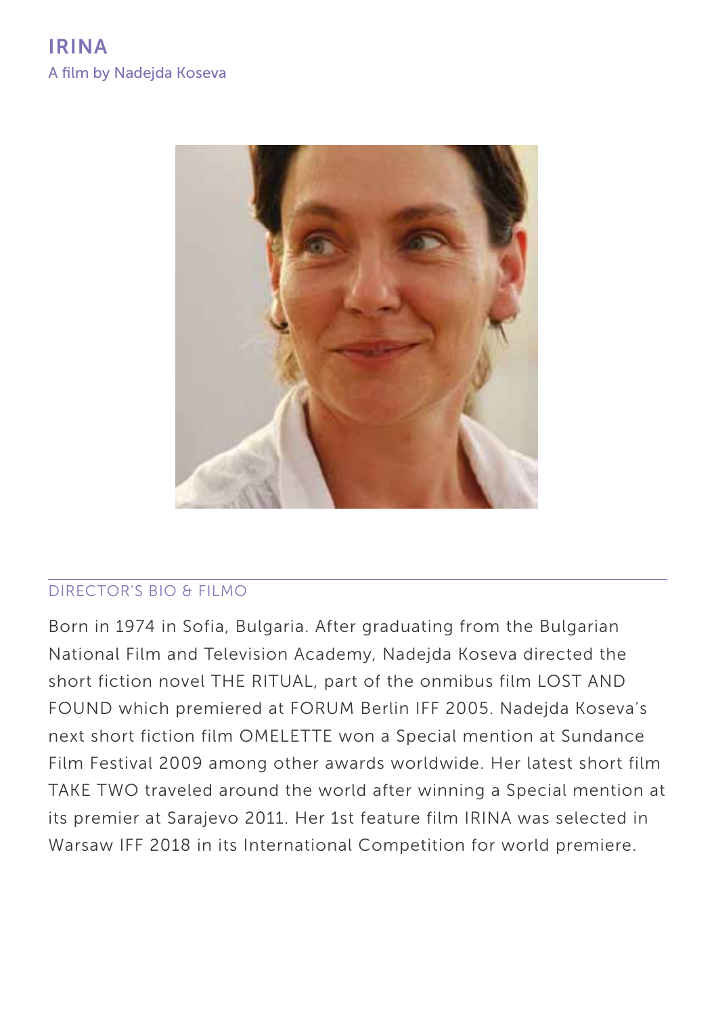

## Director's BIO & filmo

Born in 1974 in Sofia, Bulgaria. After graduating from the Bulgarian National Film and Television Academy, Nadejda Koseva directed the short fiction novel THE RITUAL, part of the onmibus film LOST AND FOUND which premiered at FORUM Berlin IFF 2005. Nadejda Koseva's next short fiction film OMELETTE won a Special mention at Sundance Film Festival 2009 among other awards worldwide. Her latest short film TAKE TWO traveled around the world after winning a Special mention at its premier at Sarajevo 2011. Her 1st feature film IRINA was selected in Warsaw IFF 2018 in its International Competition for world premiere.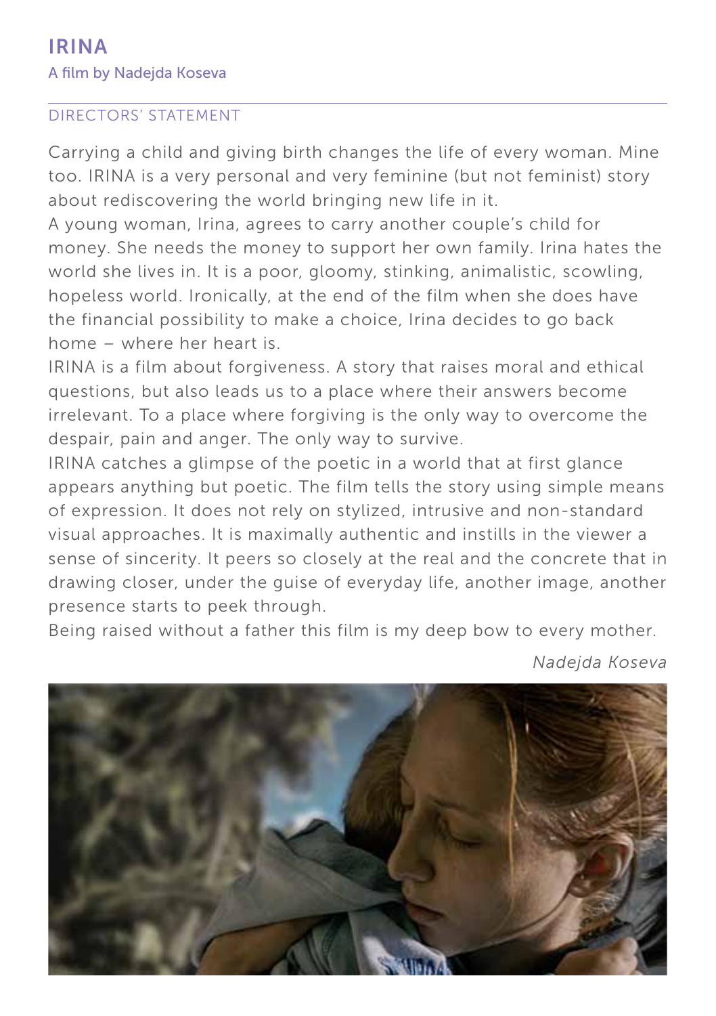#### Directors' STATEMENT

Carrying a child and giving birth changes the life of every woman. Mine too. IRINA is a very personal and very feminine (but not feminist) story about rediscovering the world bringing new life in it.

A young woman, Irina, agrees to carry another couple's child for money. She needs the money to support her own family. Irina hates the world she lives in. It is a poor, gloomy, stinking, animalistic, scowling, hopeless world. Ironically, at the end of the film when she does have the financial possibility to make a choice, Irina decides to go back home – where her heart is.

IRINA is a film about forgiveness. A story that raises moral and ethical questions, but also leads us to a place where their answers become irrelevant. To a place where forgiving is the only way to overcome the despair, pain and anger. The only way to survive.

IRINA catches a glimpse of the poetic in a world that at first glance appears anything but poetic. The film tells the story using simple means of expression. It does not rely on stylized, intrusive and non-standard visual approaches. It is maximally authentic and instills in the viewer a sense of sincerity. It peers so closely at the real and the concrete that in drawing closer, under the guise of everyday life, another image, another presence starts to peek through.

Being raised without a father this film is my deep bow to every mother.



*Nadejda Koseva*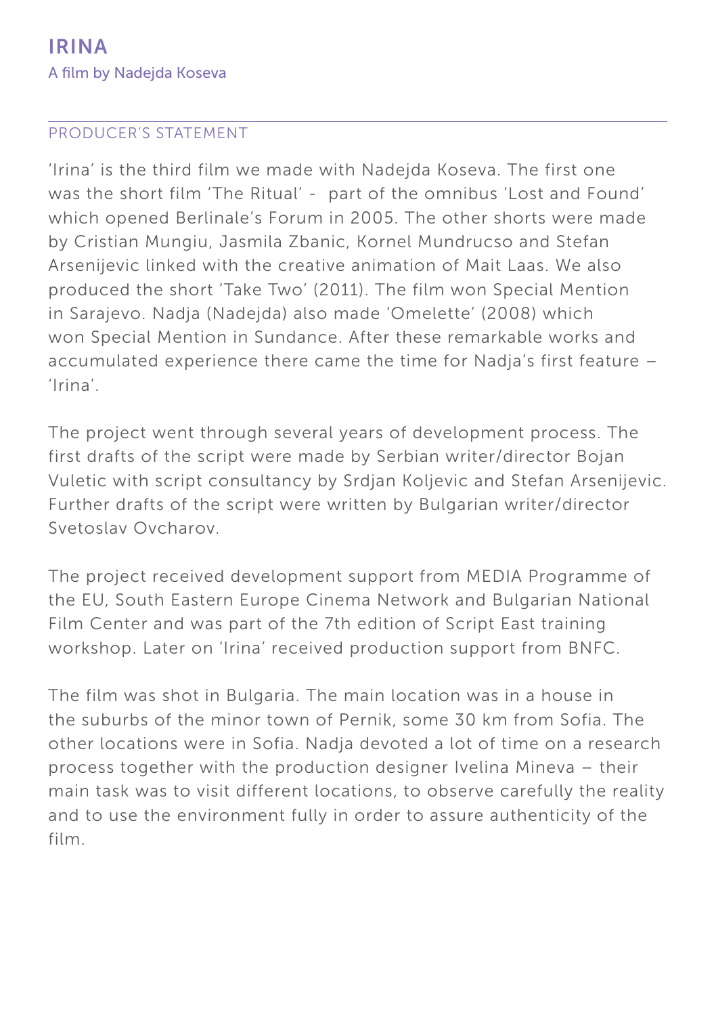### Producer's STATEMENT

'Irina' is the third film we made with Nadejda Koseva. The first one was the short film 'The Ritual' - part of the omnibus 'Lost and Found' which opened Berlinale's Forum in 2005. The other shorts were made by Cristian Mungiu, Jasmila Zbanic, Kornel Mundrucso and Stefan Arsenijevic linked with the creative animation of Mait Laas. We also produced the short 'Take Two' (2011). The film won Special Mention in Sarajevo. Nadja (Nadejda) also made 'Omelette' (2008) which won Special Mention in Sundance. After these remarkable works and accumulated experience there came the time for Nadja's first feature – 'Irina'.

The project went through several years of development process. The first drafts of the script were made by Serbian writer/director Bojan Vuletic with script consultancy by Srdjan Koljevic and Stefan Arsenijevic. Further drafts of the script were written by Bulgarian writer/director Svetoslav Ovcharov.

The project received development support from MEDIA Programme of the EU, South Eastern Europe Cinema Network and Bulgarian National Film Center and was part of the 7th edition of Script East training workshop. Later on 'Irina' received production support from BNFC.

The film was shot in Bulgaria. The main location was in a house in the suburbs of the minor town of Pernik, some 30 km from Sofia. The other locations were in Sofia. Nadja devoted a lot of time on a research process together with the production designer Ivelina Mineva – their main task was to visit different locations, to observe carefully the reality and to use the environment fully in order to assure authenticity of the film.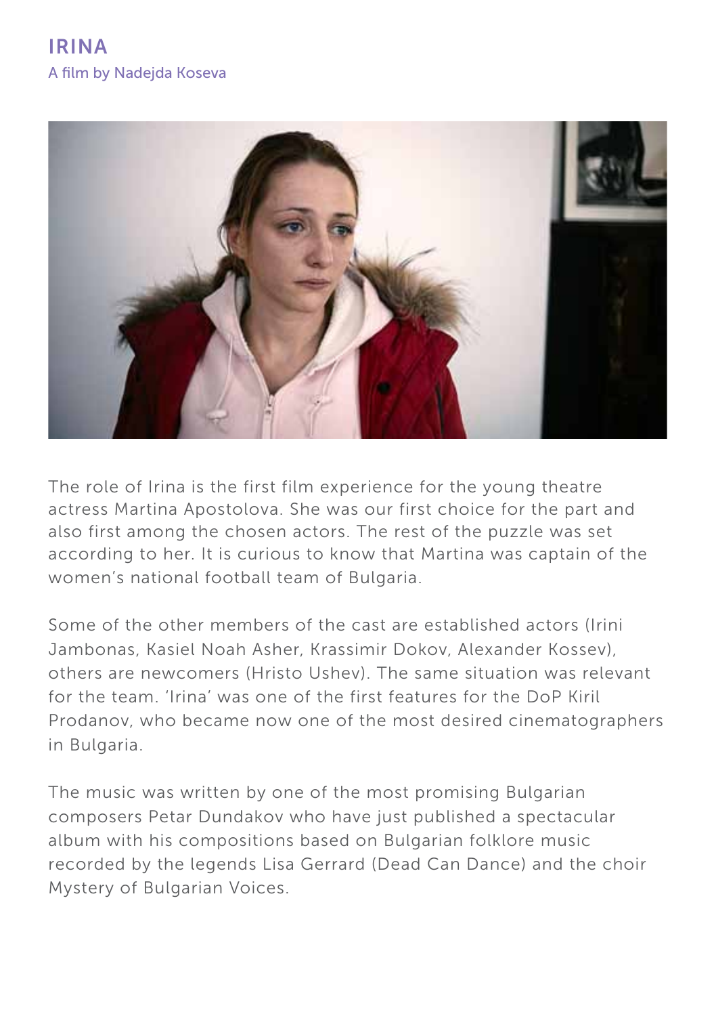

The role of Irina is the first film experience for the young theatre actress Martina Apostolova. She was our first choice for the part and also first among the chosen actors. The rest of the puzzle was set according to her. It is curious to know that Martina was captain of the women's national football team of Bulgaria.

Some of the other members of the cast are established actors (Irini Jambonas, Kasiel Noah Asher, Krassimir Dokov, Alexander Kossev), others are newcomers (Hristo Ushev). The same situation was relevant for the team. 'Irina' was one of the first features for the DoP Kiril Prodanov, who became now one of the most desired cinematographers in Bulgaria.

The music was written by one of the most promising Bulgarian composers Petar Dundakov who have just published a spectacular album with his compositions based on Bulgarian folklore music recorded by the legends Lisa Gerrard (Dead Can Dance) and the choir Mystery of Bulgarian Voices.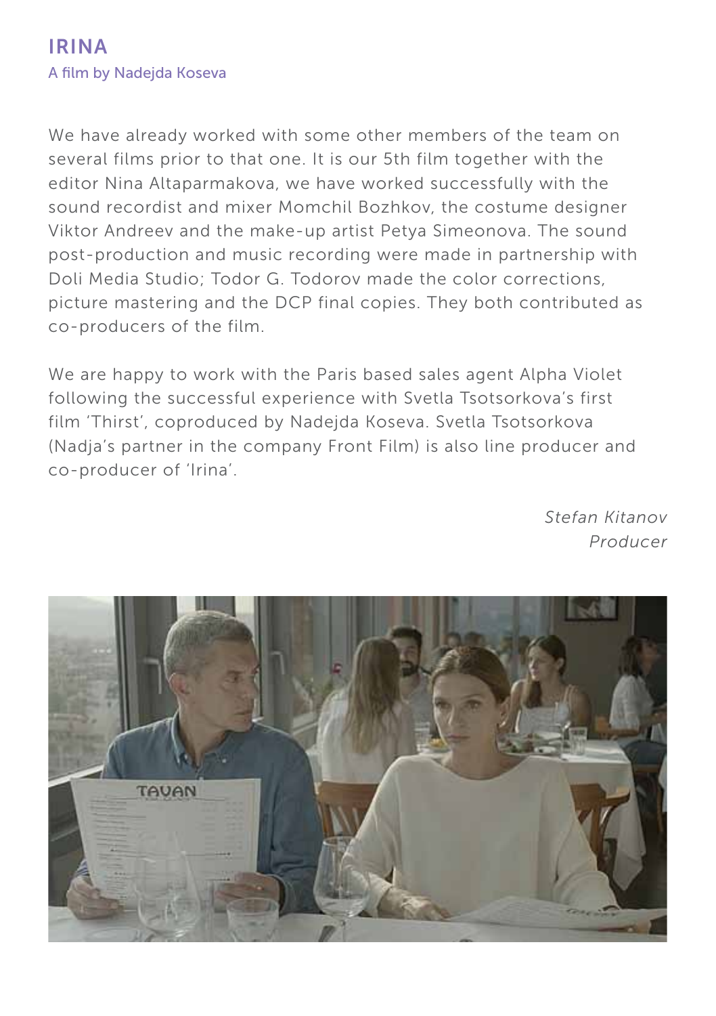## IRINA A film by Nadejda Koseva

We have already worked with some other members of the team on several films prior to that one. It is our 5th film together with the editor Nina Altaparmakova, we have worked successfully with the sound recordist and mixer Momchil Bozhkov, the costume designer Viktor Andreev and the make-up artist Petya Simeonova. The sound post-production and music recording were made in partnership with Doli Media Studio; Todor G. Todorov made the color corrections, picture mastering and the DCP final copies. They both contributed as co-producers of the film.

We are happy to work with the Paris based sales agent Alpha Violet following the successful experience with Svetla Tsotsorkova's first film 'Thirst', coproduced by Nadejda Koseva. Svetla Tsotsorkova (Nadja's partner in the company Front Film) is also line producer and co-producer of 'Irina'.

> *Stefan Kitanov Producer*